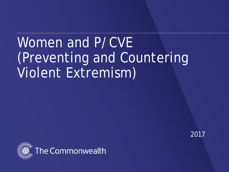# Women and P/CVE (Preventing and Countering Violent Extremism)



2017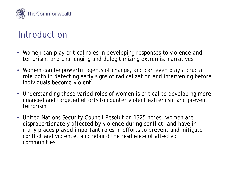

### Introduction

- Women can play critical roles in developing responses to violence and terrorism, and challenging and delegitimizing extremist narratives.
- Women can be powerful agents of change, and can even play a crucial role both in detecting early signs of radicalization and intervening before individuals become violent.
- Understanding these varied roles of women is critical to developing more nuanced and targeted efforts to counter violent extremism and prevent terrorism
- United Nations Security Council Resolution 1325 notes, women are disproportionately affected by violence during conflict, and have in many places played important roles in efforts to prevent and mitigate conflict and violence, and rebuild the resilience of affected communities.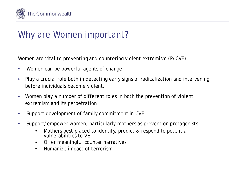

### Why are Women important?

Women are vital to preventing and countering violent extremism (P/CVE):

- Women can be powerful agents of change
- Play a crucial role both in detecting early signs of radicalization and intervening before individuals become violent.
- Women play a number of different roles in both the prevention of violent extremism and its perpetration
- Support development of family commitment in CVE
- Support/empower women, particularly mothers as prevention protagonists
	- Mothers best placed to identify, predict & respond to potential vulnerabilities to VE
	- Offer meaningful counter narratives
	- Humanize impact of terrorism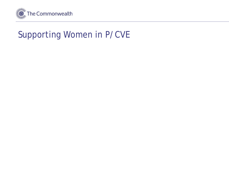

### Supporting Women in P/CVE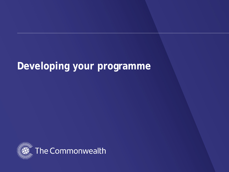## **Developing your programme**

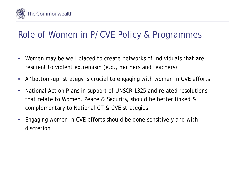

### Role of Women in P/CVE Policy & Programmes

- Women may be well placed to create networks of individuals that are resilient to violent extremism (e.g., mothers and teachers)
- A 'bottom-up' strategy is crucial to engaging with women in CVE efforts
- National Action Plans in support of UNSCR 1325 and related resolutions that relate to Women, Peace & Security, should be better linked & complementary to National CT & CVE strategies
- Engaging women in CVE efforts should be done sensitively and with discretion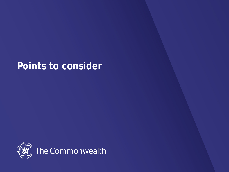### **Points to consider**